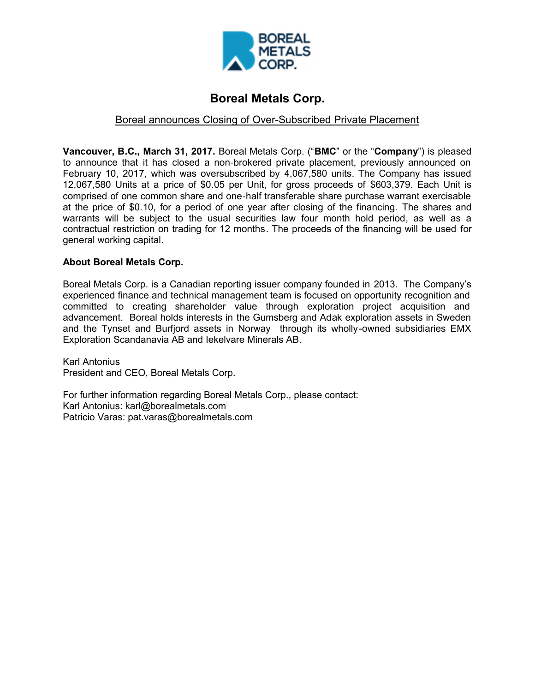

## **Boreal Metals Corp.**

## Boreal announces Closing of Over-Subscribed Private Placement

**Vancouver, B.C., March 31, 2017.** Boreal Metals Corp. ("**BMC**" or the "**Company**") is pleased to announce that it has closed a non-brokered private placement, previously announced on February 10, 2017, which was oversubscribed by 4,067,580 units. The Company has issued 12,067,580 Units at a price of \$0.05 per Unit, for gross proceeds of \$603,379. Each Unit is comprised of one common share and one-half transferable share purchase warrant exercisable at the price of \$0.10, for a period of one year after closing of the financing. The shares and warrants will be subject to the usual securities law four month hold period, as well as a contractual restriction on trading for 12 months. The proceeds of the financing will be used for general working capital.

## **About Boreal Metals Corp.**

Boreal Metals Corp. is a Canadian reporting issuer company founded in 2013. The Company's experienced finance and technical management team is focused on opportunity recognition and committed to creating shareholder value through exploration project acquisition and advancement. Boreal holds interests in the Gumsberg and Adak exploration assets in Sweden and the Tynset and Burfjord assets in Norway through its wholly-owned subsidiaries EMX Exploration Scandanavia AB and Iekelvare Minerals AB.

Karl Antonius President and CEO, Boreal Metals Corp.

For further information regarding Boreal Metals Corp., please contact: Karl Antonius: karl@borealmetals.com Patricio Varas: pat.varas@borealmetals.com